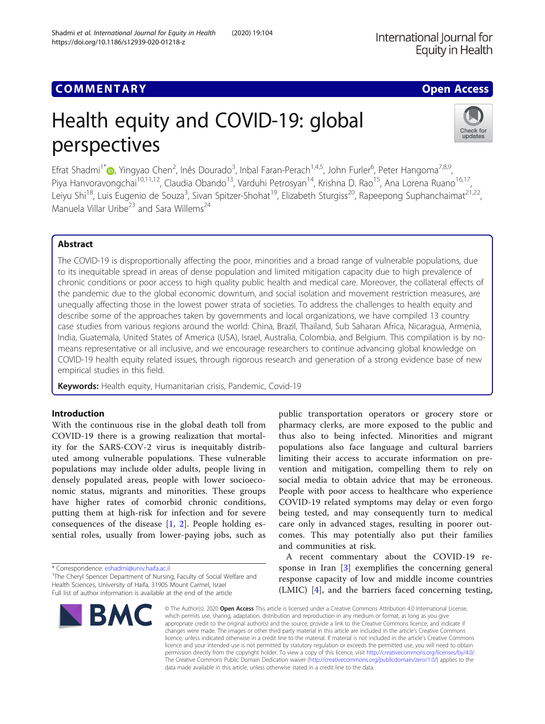# Health equity and COVID-19: global perspectives

Efrat Shadmi<sup>1[\\*](http://orcid.org/0000-0001-9752-5724)</sup>®, Yingyao Chen<sup>2</sup>, Inês Dourado<sup>3</sup>, Inbal Faran-Perach<sup>1,4,5</sup>, John Furler<sup>6</sup>, Peter Hangoma<sup>7,8,9</sup>, Piya Hanvoravongchai<sup>10,11,12</sup>, Claudia Obando<sup>13</sup>, Varduhi Petrosyan<sup>14</sup>, Krishna D. Rao<sup>15</sup>, Ana Lorena Ruano<sup>16,17</sup>, Leiyu Shi<sup>18</sup>, Luis Eugenio de Souza<sup>3</sup>, Sivan Spitzer-Shohat<sup>19</sup>, Elizabeth Sturgiss<sup>20</sup>, Rapeepong Suphanchaimat<sup>21,22</sup>, Manuela Villar Uribe $^{23}$  and Sara Willems<sup>24</sup>

## Abstract

The COVID-19 is disproportionally affecting the poor, minorities and a broad range of vulnerable populations, due to its inequitable spread in areas of dense population and limited mitigation capacity due to high prevalence of chronic conditions or poor access to high quality public health and medical care. Moreover, the collateral effects of the pandemic due to the global economic downturn, and social isolation and movement restriction measures, are unequally affecting those in the lowest power strata of societies. To address the challenges to health equity and describe some of the approaches taken by governments and local organizations, we have compiled 13 country case studies from various regions around the world: China, Brazil, Thailand, Sub Saharan Africa, Nicaragua, Armenia, India, Guatemala, United States of America (USA), Israel, Australia, Colombia, and Belgium. This compilation is by nomeans representative or all inclusive, and we encourage researchers to continue advancing global knowledge on COVID-19 health equity related issues, through rigorous research and generation of a strong evidence base of new empirical studies in this field.

Keywords: Health equity, Humanitarian crisis, Pandemic, Covid-19

## Introduction

With the continuous rise in the global death toll from COVID-19 there is a growing realization that mortality for the SARS-COV-2 virus is inequitably distributed among vulnerable populations. These vulnerable populations may include older adults, people living in densely populated areas, people with lower socioeconomic status, migrants and minorities. These groups have higher rates of comorbid chronic conditions, putting them at high-risk for infection and for severe consequences of the disease [[1,](#page-14-0) [2](#page-14-0)]. People holding essential roles, usually from lower-paying jobs, such as

\* Correspondence: [eshadmi@univ.haifa.ac.il](mailto:eshadmi@univ.haifa.ac.il) <sup>1</sup>

<sup>1</sup>The Cheryl Spencer Department of Nursing, Faculty of Social Welfare and Health Sciences, University of Haifa, 31905 Mount Carmel, Israel Full list of author information is available at the end of the article

response capacity of low and middle income countries (LMIC) [[4\]](#page-14-0), and the barriers faced concerning testing, BMC

populations also face language and cultural barriers limiting their access to accurate information on prevention and mitigation, compelling them to rely on social media to obtain advice that may be erroneous. People with poor access to healthcare who experience COVID-19 related symptoms may delay or even forgo being tested, and may consequently turn to medical care only in advanced stages, resulting in poorer outcomes. This may potentially also put their families and communities at risk. A recent commentary about the COVID-19 response in Iran [\[3](#page-14-0)] exemplifies the concerning general

public transportation operators or grocery store or pharmacy clerks, are more exposed to the public and thus also to being infected. Minorities and migrant

© The Author(s), 2020 **Open Access** This article is licensed under a Creative Commons Attribution 4.0 International License, which permits use, sharing, adaptation, distribution and reproduction in any medium or format, as long as you give appropriate credit to the original author(s) and the source, provide a link to the Creative Commons licence, and indicate if changes were made. The images or other third party material in this article are included in the article's Creative Commons licence, unless indicated otherwise in a credit line to the material. If material is not included in the article's Creative Commons licence and your intended use is not permitted by statutory regulation or exceeds the permitted use, you will need to obtain permission directly from the copyright holder. To view a copy of this licence, visit [http://creativecommons.org/licenses/by/4.0/.](http://creativecommons.org/licenses/by/4.0/) The Creative Commons Public Domain Dedication waiver [\(http://creativecommons.org/publicdomain/zero/1.0/](http://creativecommons.org/publicdomain/zero/1.0/)) applies to the data made available in this article, unless otherwise stated in a credit line to the data.

## Shadmi et al. International Journal for Equity in Health (2020) 19:104 https://doi.org/10.1186/s12939-020-01218-z

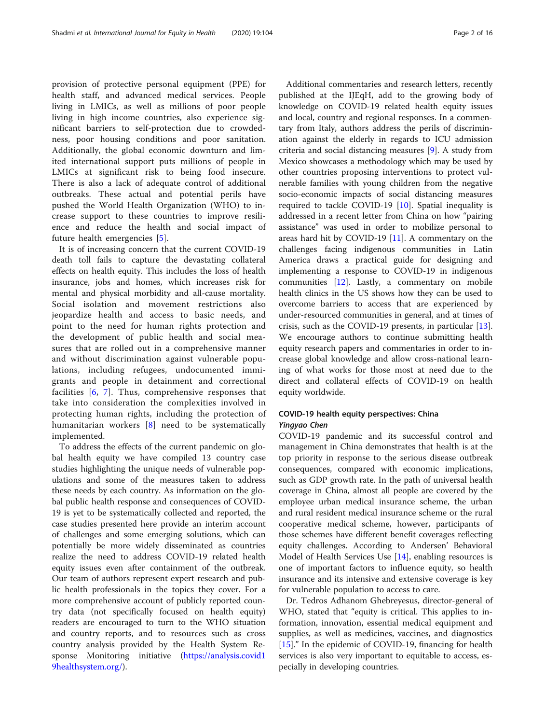provision of protective personal equipment (PPE) for health staff, and advanced medical services. People living in LMICs, as well as millions of poor people living in high income countries, also experience significant barriers to self-protection due to crowdedness, poor housing conditions and poor sanitation. Additionally, the global economic downturn and limited international support puts millions of people in LMICs at significant risk to being food insecure. There is also a lack of adequate control of additional outbreaks. These actual and potential perils have pushed the World Health Organization (WHO) to increase support to these countries to improve resilience and reduce the health and social impact of future health emergencies [[5\]](#page-14-0).

It is of increasing concern that the current COVID-19 death toll fails to capture the devastating collateral effects on health equity. This includes the loss of health insurance, jobs and homes, which increases risk for mental and physical morbidity and all-cause mortality. Social isolation and movement restrictions also jeopardize health and access to basic needs, and point to the need for human rights protection and the development of public health and social measures that are rolled out in a comprehensive manner and without discrimination against vulnerable populations, including refugees, undocumented immigrants and people in detainment and correctional facilities [\[6,](#page-14-0) [7](#page-14-0)]. Thus, comprehensive responses that take into consideration the complexities involved in protecting human rights, including the protection of humanitarian workers [[8](#page-14-0)] need to be systematically implemented.

To address the effects of the current pandemic on global health equity we have compiled 13 country case studies highlighting the unique needs of vulnerable populations and some of the measures taken to address these needs by each country. As information on the global public health response and consequences of COVID-19 is yet to be systematically collected and reported, the case studies presented here provide an interim account of challenges and some emerging solutions, which can potentially be more widely disseminated as countries realize the need to address COVID-19 related health equity issues even after containment of the outbreak. Our team of authors represent expert research and public health professionals in the topics they cover. For a more comprehensive account of publicly reported country data (not specifically focused on health equity) readers are encouraged to turn to the WHO situation and country reports, and to resources such as cross country analysis provided by the Health System Response Monitoring initiative [\(https://analysis.covid1](https://analysis.covid19healthsystem.org/) [9healthsystem.org/\)](https://analysis.covid19healthsystem.org/).

Additional commentaries and research letters, recently published at the IJEqH, add to the growing body of knowledge on COVID-19 related health equity issues and local, country and regional responses. In a commentary from Italy, authors address the perils of discrimination against the elderly in regards to ICU admission criteria and social distancing measures [\[9](#page-14-0)]. A study from Mexico showcases a methodology which may be used by other countries proposing interventions to protect vulnerable families with young children from the negative socio-economic impacts of social distancing measures required to tackle COVID-19 [[10\]](#page-14-0). Spatial inequality is addressed in a recent letter from China on how "pairing assistance" was used in order to mobilize personal to areas hard hit by COVID-19  $[11]$  $[11]$ . A commentary on the challenges facing indigenous communities in Latin America draws a practical guide for designing and implementing a response to COVID-19 in indigenous communities [\[12\]](#page-14-0). Lastly, a commentary on mobile health clinics in the US shows how they can be used to overcome barriers to access that are experienced by under-resourced communities in general, and at times of crisis, such as the COVID-19 presents, in particular [\[13](#page-14-0)]. We encourage authors to continue submitting health equity research papers and commentaries in order to increase global knowledge and allow cross-national learning of what works for those most at need due to the direct and collateral effects of COVID-19 on health equity worldwide.

## COVID-19 health equity perspectives: China Yingyao Chen

COVID-19 pandemic and its successful control and management in China demonstrates that health is at the top priority in response to the serious disease outbreak consequences, compared with economic implications, such as GDP growth rate. In the path of universal health coverage in China, almost all people are covered by the employee urban medical insurance scheme, the urban and rural resident medical insurance scheme or the rural cooperative medical scheme, however, participants of those schemes have different benefit coverages reflecting equity challenges. According to Andersen' Behavioral Model of Health Services Use [\[14\]](#page-14-0), enabling resources is one of important factors to influence equity, so health insurance and its intensive and extensive coverage is key for vulnerable population to access to care.

Dr. Tedros Adhanom Ghebreyesus, director-general of WHO, stated that "equity is critical. This applies to information, innovation, essential medical equipment and supplies, as well as medicines, vaccines, and diagnostics [[15\]](#page-14-0)." In the epidemic of COVID-19, financing for health services is also very important to equitable to access, especially in developing countries.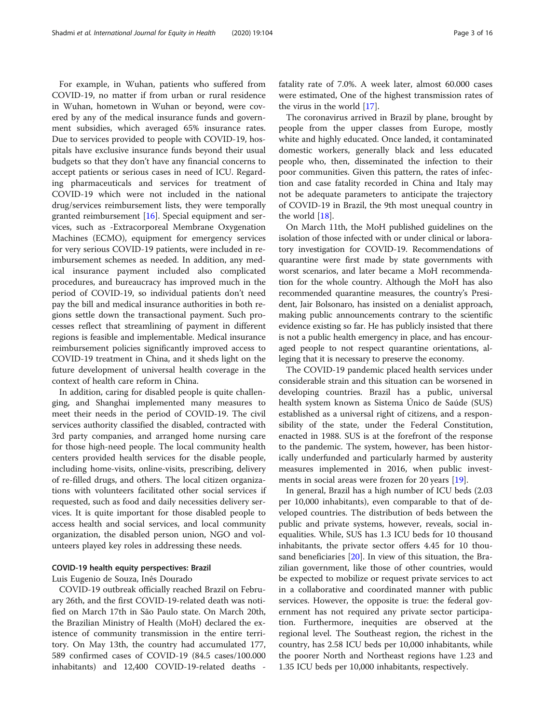For example, in Wuhan, patients who suffered from COVID-19, no matter if from urban or rural residence in Wuhan, hometown in Wuhan or beyond, were covered by any of the medical insurance funds and government subsidies, which averaged 65% insurance rates. Due to services provided to people with COVID-19, hospitals have exclusive insurance funds beyond their usual budgets so that they don't have any financial concerns to accept patients or serious cases in need of ICU. Regarding pharmaceuticals and services for treatment of COVID-19 which were not included in the national drug/services reimbursement lists, they were temporally granted reimbursement  $[16]$  $[16]$  $[16]$ . Special equipment and services, such as -Extracorporeal Membrane Oxygenation Machines (ECMO), equipment for emergency services for very serious COVID-19 patients, were included in reimbursement schemes as needed. In addition, any medical insurance payment included also complicated procedures, and bureaucracy has improved much in the period of COVID-19, so individual patients don't need pay the bill and medical insurance authorities in both regions settle down the transactional payment. Such processes reflect that streamlining of payment in different regions is feasible and implementable. Medical insurance reimbursement policies significantly improved access to COVID-19 treatment in China, and it sheds light on the future development of universal health coverage in the context of health care reform in China.

In addition, caring for disabled people is quite challenging, and Shanghai implemented many measures to meet their needs in the period of COVID-19. The civil services authority classified the disabled, contracted with 3rd party companies, and arranged home nursing care for those high-need people. The local community health centers provided health services for the disable people, including home-visits, online-visits, prescribing, delivery of re-filled drugs, and others. The local citizen organizations with volunteers facilitated other social services if requested, such as food and daily necessities delivery services. It is quite important for those disabled people to access health and social services, and local community organization, the disabled person union, NGO and volunteers played key roles in addressing these needs.

#### COVID-19 health equity perspectives: Brazil

Luis Eugenio de Souza, Inês Dourado

COVID-19 outbreak officially reached Brazil on February 26th, and the first COVID-19-related death was notified on March 17th in São Paulo state. On March 20th, the Brazilian Ministry of Health (MoH) declared the existence of community transmission in the entire territory. On May 13th, the country had accumulated 177, 589 confirmed cases of COVID-19 (84.5 cases/100.000 inhabitants) and 12,400 COVID-19-related deaths - fatality rate of 7.0%. A week later, almost 60.000 cases were estimated, One of the highest transmission rates of the virus in the world [[17](#page-14-0)].

The coronavirus arrived in Brazil by plane, brought by people from the upper classes from Europe, mostly white and highly educated. Once landed, it contaminated domestic workers, generally black and less educated people who, then, disseminated the infection to their poor communities. Given this pattern, the rates of infection and case fatality recorded in China and Italy may not be adequate parameters to anticipate the trajectory of COVID-19 in Brazil, the 9th most unequal country in the world [\[18\]](#page-14-0).

On March 11th, the MoH published guidelines on the isolation of those infected with or under clinical or laboratory investigation for COVID-19. Recommendations of quarantine were first made by state governments with worst scenarios, and later became a MoH recommendation for the whole country. Although the MoH has also recommended quarantine measures, the country's President, Jair Bolsonaro, has insisted on a denialist approach, making public announcements contrary to the scientific evidence existing so far. He has publicly insisted that there is not a public health emergency in place, and has encouraged people to not respect quarantine orientations, alleging that it is necessary to preserve the economy.

The COVID-19 pandemic placed health services under considerable strain and this situation can be worsened in developing countries. Brazil has a public, universal health system known as Sistema Único de Saúde (SUS) established as a universal right of citizens, and a responsibility of the state, under the Federal Constitution, enacted in 1988. SUS is at the forefront of the response to the pandemic. The system, however, has been historically underfunded and particularly harmed by austerity measures implemented in 2016, when public invest-ments in social areas were frozen for 20 years [[19\]](#page-14-0).

In general, Brazil has a high number of ICU beds (2.03 per 10,000 inhabitants), even comparable to that of developed countries. The distribution of beds between the public and private systems, however, reveals, social inequalities. While, SUS has 1.3 ICU beds for 10 thousand inhabitants, the private sector offers 4.45 for 10 thousand beneficiaries [[20](#page-14-0)]. In view of this situation, the Brazilian government, like those of other countries, would be expected to mobilize or request private services to act in a collaborative and coordinated manner with public services. However, the opposite is true: the federal government has not required any private sector participation. Furthermore, inequities are observed at the regional level. The Southeast region, the richest in the country, has 2.58 ICU beds per 10,000 inhabitants, while the poorer North and Northeast regions have 1.23 and 1.35 ICU beds per 10,000 inhabitants, respectively.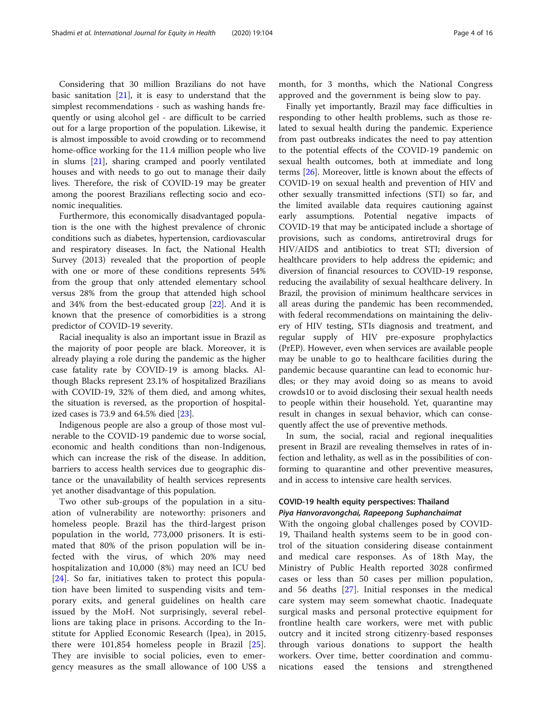Considering that 30 million Brazilians do not have basic sanitation  $[21]$  $[21]$  $[21]$ , it is easy to understand that the simplest recommendations - such as washing hands frequently or using alcohol gel - are difficult to be carried out for a large proportion of the population. Likewise, it is almost impossible to avoid crowding or to recommend home-office working for the 11.4 million people who live in slums [\[21](#page-14-0)], sharing cramped and poorly ventilated houses and with needs to go out to manage their daily lives. Therefore, the risk of COVID-19 may be greater among the poorest Brazilians reflecting socio and economic inequalities.

Furthermore, this economically disadvantaged population is the one with the highest prevalence of chronic conditions such as diabetes, hypertension, cardiovascular and respiratory diseases. In fact, the National Health Survey (2013) revealed that the proportion of people with one or more of these conditions represents 54% from the group that only attended elementary school versus 28% from the group that attended high school and 34% from the best-educated group [\[22\]](#page-14-0). And it is known that the presence of comorbidities is a strong predictor of COVID-19 severity.

Racial inequality is also an important issue in Brazil as the majority of poor people are black. Moreover, it is already playing a role during the pandemic as the higher case fatality rate by COVID-19 is among blacks. Although Blacks represent 23.1% of hospitalized Brazilians with COVID-19, 32% of them died, and among whites, the situation is reversed, as the proportion of hospitalized cases is 73.9 and 64.5% died [[23\]](#page-14-0).

Indigenous people are also a group of those most vulnerable to the COVID-19 pandemic due to worse social, economic and health conditions than non-Indigenous, which can increase the risk of the disease. In addition, barriers to access health services due to geographic distance or the unavailability of health services represents yet another disadvantage of this population.

Two other sub-groups of the population in a situation of vulnerability are noteworthy: prisoners and homeless people. Brazil has the third-largest prison population in the world, 773,000 prisoners. It is estimated that 80% of the prison population will be infected with the virus, of which 20% may need hospitalization and 10,000 (8%) may need an ICU bed [[24\]](#page-14-0). So far, initiatives taken to protect this population have been limited to suspending visits and temporary exits, and general guidelines on health care issued by the MoH. Not surprisingly, several rebellions are taking place in prisons. According to the Institute for Applied Economic Research (Ipea), in 2015, there were 101,854 homeless people in Brazil [\[25](#page-14-0)]. They are invisible to social policies, even to emergency measures as the small allowance of 100 US\$ a

month, for 3 months, which the National Congress approved and the government is being slow to pay.

Finally yet importantly, Brazil may face difficulties in responding to other health problems, such as those related to sexual health during the pandemic. Experience from past outbreaks indicates the need to pay attention to the potential effects of the COVID-19 pandemic on sexual health outcomes, both at immediate and long terms [\[26](#page-14-0)]. Moreover, little is known about the effects of COVID-19 on sexual health and prevention of HIV and other sexually transmitted infections (STI) so far, and the limited available data requires cautioning against early assumptions. Potential negative impacts of COVID-19 that may be anticipated include a shortage of provisions, such as condoms, antiretroviral drugs for HIV/AIDS and antibiotics to treat STI; diversion of healthcare providers to help address the epidemic; and diversion of financial resources to COVID-19 response, reducing the availability of sexual healthcare delivery. In Brazil, the provision of minimum healthcare services in all areas during the pandemic has been recommended, with federal recommendations on maintaining the delivery of HIV testing, STIs diagnosis and treatment, and regular supply of HIV pre-exposure prophylactics (PrEP). However, even when services are available people may be unable to go to healthcare facilities during the pandemic because quarantine can lead to economic hurdles; or they may avoid doing so as means to avoid crowds10 or to avoid disclosing their sexual health needs to people within their household. Yet, quarantine may result in changes in sexual behavior, which can consequently affect the use of preventive methods.

In sum, the social, racial and regional inequalities present in Brazil are revealing themselves in rates of infection and lethality, as well as in the possibilities of conforming to quarantine and other preventive measures, and in access to intensive care health services.

## COVID-19 health equity perspectives: Thailand Piya Hanvoravongchai, Rapeepong Suphanchaimat

With the ongoing global challenges posed by COVID-19, Thailand health systems seem to be in good control of the situation considering disease containment and medical care responses. As of 18th May, the Ministry of Public Health reported 3028 confirmed cases or less than 50 cases per million population, and 56 deaths [[27\]](#page-14-0). Initial responses in the medical care system may seem somewhat chaotic. Inadequate surgical masks and personal protective equipment for frontline health care workers, were met with public outcry and it incited strong citizenry-based responses through various donations to support the health workers. Over time, better coordination and communications eased the tensions and strengthened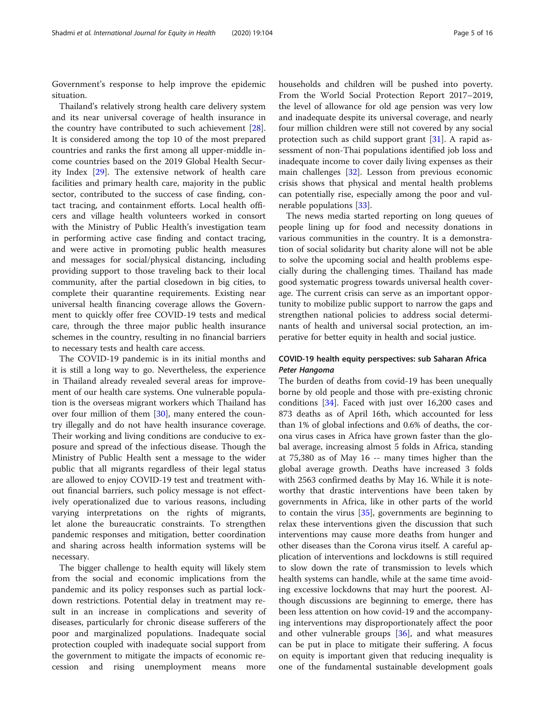Government's response to help improve the epidemic situation.

Thailand's relatively strong health care delivery system and its near universal coverage of health insurance in the country have contributed to such achievement [\[28](#page-14-0)]. It is considered among the top 10 of the most prepared countries and ranks the first among all upper-middle income countries based on the 2019 Global Health Security Index [\[29](#page-14-0)]. The extensive network of health care facilities and primary health care, majority in the public sector, contributed to the success of case finding, contact tracing, and containment efforts. Local health officers and village health volunteers worked in consort with the Ministry of Public Health's investigation team in performing active case finding and contact tracing, and were active in promoting public health measures and messages for social/physical distancing, including providing support to those traveling back to their local community, after the partial closedown in big cities, to complete their quarantine requirements. Existing near universal health financing coverage allows the Government to quickly offer free COVID-19 tests and medical care, through the three major public health insurance schemes in the country, resulting in no financial barriers to necessary tests and health care access.

The COVID-19 pandemic is in its initial months and it is still a long way to go. Nevertheless, the experience in Thailand already revealed several areas for improvement of our health care systems. One vulnerable population is the overseas migrant workers which Thailand has over four million of them [[30\]](#page-14-0), many entered the country illegally and do not have health insurance coverage. Their working and living conditions are conducive to exposure and spread of the infectious disease. Though the Ministry of Public Health sent a message to the wider public that all migrants regardless of their legal status are allowed to enjoy COVID-19 test and treatment without financial barriers, such policy message is not effectively operationalized due to various reasons, including varying interpretations on the rights of migrants, let alone the bureaucratic constraints. To strengthen pandemic responses and mitigation, better coordination and sharing across health information systems will be necessary.

The bigger challenge to health equity will likely stem from the social and economic implications from the pandemic and its policy responses such as partial lockdown restrictions. Potential delay in treatment may result in an increase in complications and severity of diseases, particularly for chronic disease sufferers of the poor and marginalized populations. Inadequate social protection coupled with inadequate social support from the government to mitigate the impacts of economic recession and rising unemployment means more households and children will be pushed into poverty. From the World Social Protection Report 2017–2019, the level of allowance for old age pension was very low and inadequate despite its universal coverage, and nearly four million children were still not covered by any social protection such as child support grant [\[31](#page-14-0)]. A rapid assessment of non-Thai populations identified job loss and inadequate income to cover daily living expenses as their main challenges [[32\]](#page-14-0). Lesson from previous economic crisis shows that physical and mental health problems can potentially rise, especially among the poor and vulnerable populations [[33](#page-14-0)].

The news media started reporting on long queues of people lining up for food and necessity donations in various communities in the country. It is a demonstration of social solidarity but charity alone will not be able to solve the upcoming social and health problems especially during the challenging times. Thailand has made good systematic progress towards universal health coverage. The current crisis can serve as an important opportunity to mobilize public support to narrow the gaps and strengthen national policies to address social determinants of health and universal social protection, an imperative for better equity in health and social justice.

## COVID-19 health equity perspectives: sub Saharan Africa Peter Hangoma

The burden of deaths from covid-19 has been unequally borne by old people and those with pre-existing chronic conditions [\[34\]](#page-14-0). Faced with just over 16,200 cases and 873 deaths as of April 16th, which accounted for less than 1% of global infections and 0.6% of deaths, the corona virus cases in Africa have grown faster than the global average, increasing almost 5 folds in Africa, standing at 75,380 as of May 16 -- many times higher than the global average growth. Deaths have increased 3 folds with 2563 confirmed deaths by May 16. While it is noteworthy that drastic interventions have been taken by governments in Africa, like in other parts of the world to contain the virus [[35](#page-14-0)], governments are beginning to relax these interventions given the discussion that such interventions may cause more deaths from hunger and other diseases than the Corona virus itself. A careful application of interventions and lockdowns is still required to slow down the rate of transmission to levels which health systems can handle, while at the same time avoiding excessive lockdowns that may hurt the poorest. Although discussions are beginning to emerge, there has been less attention on how covid-19 and the accompanying interventions may disproportionately affect the poor and other vulnerable groups [\[36](#page-15-0)], and what measures can be put in place to mitigate their suffering. A focus on equity is important given that reducing inequality is one of the fundamental sustainable development goals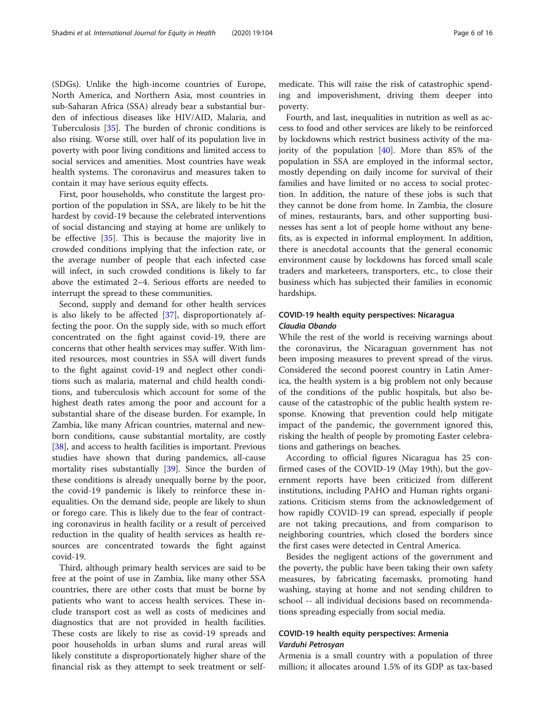(SDGs). Unlike the high-income countries of Europe, North America, and Northern Asia, most countries in sub-Saharan Africa (SSA) already bear a substantial burden of infectious diseases like HIV/AID, Malaria, and Tuberculosis [[35](#page-14-0)]. The burden of chronic conditions is also rising. Worse still, over half of its population live in poverty with poor living conditions and limited access to social services and amenities. Most countries have weak health systems. The coronavirus and measures taken to contain it may have serious equity effects.

First, poor households, who constitute the largest proportion of the population in SSA, are likely to be hit the hardest by covid-19 because the celebrated interventions of social distancing and staying at home are unlikely to be effective [\[35](#page-14-0)]. This is because the majority live in crowded conditions implying that the infection rate, or the average number of people that each infected case will infect, in such crowded conditions is likely to far above the estimated 2–4. Serious efforts are needed to interrupt the spread to these communities.

Second, supply and demand for other health services is also likely to be affected [[37](#page-15-0)], disproportionately affecting the poor. On the supply side, with so much effort concentrated on the fight against covid-19, there are concerns that other health services may suffer. With limited resources, most countries in SSA will divert funds to the fight against covid-19 and neglect other conditions such as malaria, maternal and child health conditions, and tuberculosis which account for some of the highest death rates among the poor and account for a substantial share of the disease burden. For example, In Zambia, like many African countries, maternal and newborn conditions, cause substantial mortality, are costly [[38\]](#page-15-0), and access to health facilities is important. Previous studies have shown that during pandemics, all-cause mortality rises substantially [\[39\]](#page-15-0). Since the burden of these conditions is already unequally borne by the poor, the covid-19 pandemic is likely to reinforce these inequalities. On the demand side, people are likely to shun or forego care. This is likely due to the fear of contracting coronavirus in health facility or a result of perceived reduction in the quality of health services as health resources are concentrated towards the fight against covid-19.

Third, although primary health services are said to be free at the point of use in Zambia, like many other SSA countries, there are other costs that must be borne by patients who want to access health services. These include transport cost as well as costs of medicines and diagnostics that are not provided in health facilities. These costs are likely to rise as covid-19 spreads and poor households in urban slums and rural areas will likely constitute a disproportionately higher share of the financial risk as they attempt to seek treatment or self-

medicate. This will raise the risk of catastrophic spending and impoverishment, driving them deeper into poverty.

Fourth, and last, inequalities in nutrition as well as access to food and other services are likely to be reinforced by lockdowns which restrict business activity of the majority of the population [[40\]](#page-15-0). More than 85% of the population in SSA are employed in the informal sector, mostly depending on daily income for survival of their families and have limited or no access to social protection. In addition, the nature of these jobs is such that they cannot be done from home. In Zambia, the closure of mines, restaurants, bars, and other supporting businesses has sent a lot of people home without any benefits, as is expected in informal employment. In addition, there is anecdotal accounts that the general economic environment cause by lockdowns has forced small scale traders and marketeers, transporters, etc., to close their business which has subjected their families in economic hardships.

## COVID-19 health equity perspectives: Nicaragua Claudia Obando

While the rest of the world is receiving warnings about the coronavirus, the Nicaraguan government has not been imposing measures to prevent spread of the virus. Considered the second poorest country in Latin America, the health system is a big problem not only because of the conditions of the public hospitals, but also because of the catastrophic of the public health system response. Knowing that prevention could help mitigate impact of the pandemic, the government ignored this, risking the health of people by promoting Easter celebrations and gatherings on beaches.

According to official figures Nicaragua has 25 confirmed cases of the COVID-19 (May 19th), but the government reports have been criticized from different institutions, including PAHO and Human rights organizations. Criticism stems from the acknowledgement of how rapidly COVID-19 can spread, especially if people are not taking precautions, and from comparison to neighboring countries, which closed the borders since the first cases were detected in Central America.

Besides the negligent actions of the government and the poverty, the public have been taking their own safety measures, by fabricating facemasks, promoting hand washing, staying at home and not sending children to school -- all individual decisions based on recommendations spreading especially from social media.

## COVID-19 health equity perspectives: Armenia Varduhi Petrosyan

Armenia is a small country with a population of three million; it allocates around 1.5% of its GDP as tax-based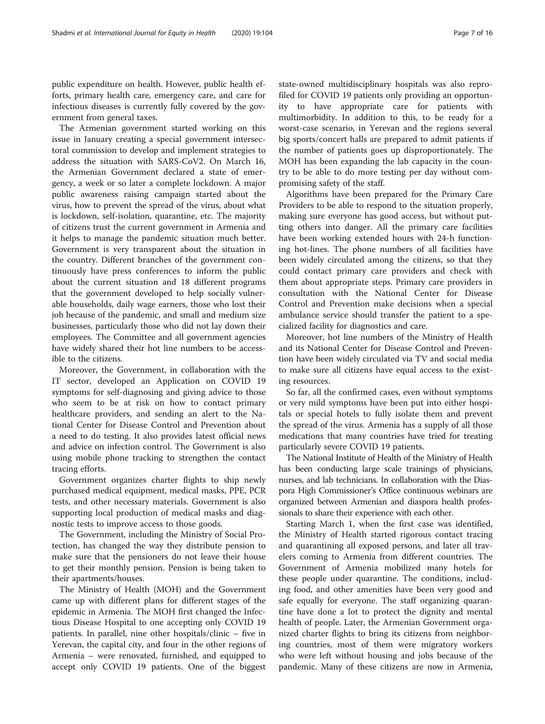public expenditure on health. However, public health efforts, primary health care, emergency care, and care for infectious diseases is currently fully covered by the government from general taxes.

The Armenian government started working on this issue in January creating a special government intersectoral commission to develop and implement strategies to address the situation with SARS-CoV2. On March 16, the Armenian Government declared a state of emergency, a week or so later a complete lockdown. A major public awareness raising campaign started about the virus, how to prevent the spread of the virus, about what is lockdown, self-isolation, quarantine, etc. The majority of citizens trust the current government in Armenia and it helps to manage the pandemic situation much better. Government is very transparent about the situation in the country. Different branches of the government continuously have press conferences to inform the public about the current situation and 18 different programs that the government developed to help socially vulnerable households, daily wage earners, those who lost their job because of the pandemic, and small and medium size businesses, particularly those who did not lay down their employees. The Committee and all government agencies have widely shared their hot line numbers to be accessible to the citizens.

Moreover, the Government, in collaboration with the IT sector, developed an Application on COVID 19 symptoms for self-diagnosing and giving advice to those who seem to be at risk on how to contact primary healthcare providers, and sending an alert to the National Center for Disease Control and Prevention about a need to do testing. It also provides latest official news and advice on infection control. The Government is also using mobile phone tracking to strengthen the contact tracing efforts.

Government organizes charter flights to ship newly purchased medical equipment, medical masks, PPE, PCR tests, and other necessary materials. Government is also supporting local production of medical masks and diagnostic tests to improve access to those goods.

The Government, including the Ministry of Social Protection, has changed the way they distribute pension to make sure that the pensioners do not leave their house to get their monthly pension. Pension is being taken to their apartments/houses.

The Ministry of Health (MOH) and the Government came up with different plans for different stages of the epidemic in Armenia. The MOH first changed the Infectious Disease Hospital to one accepting only COVID 19 patients. In parallel, nine other hospitals/clinic – five in Yerevan, the capital city, and four in the other regions of Armenia – were renovated, furnished, and equipped to accept only COVID 19 patients. One of the biggest state-owned multidisciplinary hospitals was also reprofiled for COVID 19 patients only providing an opportunity to have appropriate care for patients with multimorbidity. In addition to this, to be ready for a worst-case scenario, in Yerevan and the regions several big sports/concert halls are prepared to admit patients if the number of patients goes up disproportionately. The MOH has been expanding the lab capacity in the country to be able to do more testing per day without compromising safety of the staff.

Algorithms have been prepared for the Primary Care Providers to be able to respond to the situation properly, making sure everyone has good access, but without putting others into danger. All the primary care facilities have been working extended hours with 24-h functioning hot-lines. The phone numbers of all facilities have been widely circulated among the citizens, so that they could contact primary care providers and check with them about appropriate steps. Primary care providers in consultation with the National Center for Disease Control and Prevention make decisions when a special ambulance service should transfer the patient to a specialized facility for diagnostics and care.

Moreover, hot line numbers of the Ministry of Health and its National Center for Disease Control and Prevention have been widely circulated via TV and social media to make sure all citizens have equal access to the existing resources.

So far, all the confirmed cases, even without symptoms or very mild symptoms have been put into either hospitals or special hotels to fully isolate them and prevent the spread of the virus. Armenia has a supply of all those medications that many countries have tried for treating particularly severe COVID 19 patients.

The National Institute of Health of the Ministry of Health has been conducting large scale trainings of physicians, nurses, and lab technicians. In collaboration with the Diaspora High Commissioner's Office continuous webinars are organized between Armenian and diaspora health professionals to share their experience with each other.

Starting March 1, when the first case was identified, the Ministry of Health started rigorous contact tracing and quarantining all exposed persons, and later all travelers coming to Armenia from different countries. The Government of Armenia mobilized many hotels for these people under quarantine. The conditions, including food, and other amenities have been very good and safe equally for everyone. The staff organizing quarantine have done a lot to protect the dignity and mental health of people. Later, the Armenian Government organized charter flights to bring its citizens from neighboring countries, most of them were migratory workers who were left without housing and jobs because of the pandemic. Many of these citizens are now in Armenia,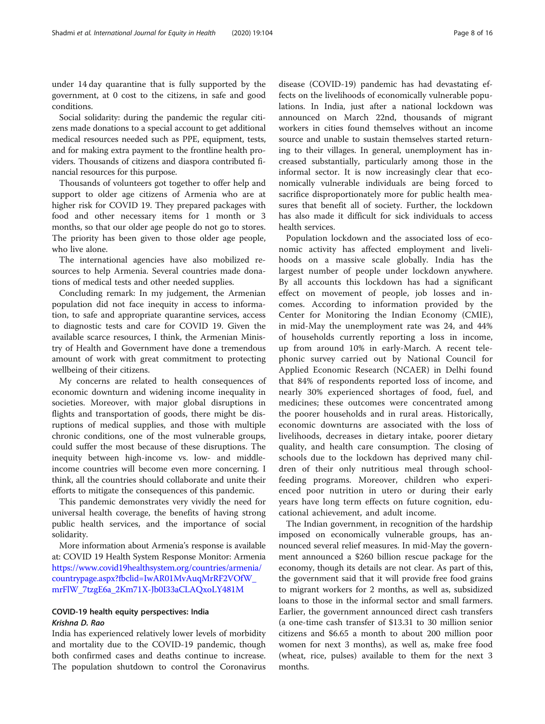under 14 day quarantine that is fully supported by the government, at 0 cost to the citizens, in safe and good conditions.

Social solidarity: during the pandemic the regular citizens made donations to a special account to get additional medical resources needed such as PPE, equipment, tests, and for making extra payment to the frontline health providers. Thousands of citizens and diaspora contributed financial resources for this purpose.

Thousands of volunteers got together to offer help and support to older age citizens of Armenia who are at higher risk for COVID 19. They prepared packages with food and other necessary items for 1 month or 3 months, so that our older age people do not go to stores. The priority has been given to those older age people, who live alone.

The international agencies have also mobilized resources to help Armenia. Several countries made donations of medical tests and other needed supplies.

Concluding remark: In my judgement, the Armenian population did not face inequity in access to information, to safe and appropriate quarantine services, access to diagnostic tests and care for COVID 19. Given the available scarce resources, I think, the Armenian Ministry of Health and Government have done a tremendous amount of work with great commitment to protecting wellbeing of their citizens.

My concerns are related to health consequences of economic downturn and widening income inequality in societies. Moreover, with major global disruptions in flights and transportation of goods, there might be disruptions of medical supplies, and those with multiple chronic conditions, one of the most vulnerable groups, could suffer the most because of these disruptions. The inequity between high-income vs. low- and middleincome countries will become even more concerning. I think, all the countries should collaborate and unite their efforts to mitigate the consequences of this pandemic.

This pandemic demonstrates very vividly the need for universal health coverage, the benefits of having strong public health services, and the importance of social solidarity.

More information about Armenia's response is available at: COVID 19 Health System Response Monitor: Armenia [https://www.covid19healthsystem.org/countries/armenia/](https://www.covid19healthsystem.org/countries/armenia/countrypage.aspx?fbclid=IwAR01MvAuqMrRF2VOfW_mrFlW_7tzgE6a_2Km71X-Jb0I33aCLAQxoLY481M) [countrypage.aspx?fbclid=IwAR01MvAuqMrRF2VOfW\\_](https://www.covid19healthsystem.org/countries/armenia/countrypage.aspx?fbclid=IwAR01MvAuqMrRF2VOfW_mrFlW_7tzgE6a_2Km71X-Jb0I33aCLAQxoLY481M) [mrFlW\\_7tzgE6a\\_2Km71X-Jb0I33aCLAQxoLY481M](https://www.covid19healthsystem.org/countries/armenia/countrypage.aspx?fbclid=IwAR01MvAuqMrRF2VOfW_mrFlW_7tzgE6a_2Km71X-Jb0I33aCLAQxoLY481M)

### COVID-19 health equity perspectives: India Krishna D. Rao

India has experienced relatively lower levels of morbidity and mortality due to the COVID-19 pandemic, though both confirmed cases and deaths continue to increase. The population shutdown to control the Coronavirus

disease (COVID-19) pandemic has had devastating effects on the livelihoods of economically vulnerable populations. In India, just after a national lockdown was announced on March 22nd, thousands of migrant workers in cities found themselves without an income source and unable to sustain themselves started returning to their villages. In general, unemployment has increased substantially, particularly among those in the informal sector. It is now increasingly clear that economically vulnerable individuals are being forced to sacrifice disproportionately more for public health measures that benefit all of society. Further, the lockdown has also made it difficult for sick individuals to access health services.

Population lockdown and the associated loss of economic activity has affected employment and livelihoods on a massive scale globally. India has the largest number of people under lockdown anywhere. By all accounts this lockdown has had a significant effect on movement of people, job losses and incomes. According to information provided by the Center for Monitoring the Indian Economy (CMIE), in mid-May the unemployment rate was 24, and 44% of households currently reporting a loss in income, up from around 10% in early-March. A recent telephonic survey carried out by National Council for Applied Economic Research (NCAER) in Delhi found that 84% of respondents reported loss of income, and nearly 30% experienced shortages of food, fuel, and medicines; these outcomes were concentrated among the poorer households and in rural areas. Historically, economic downturns are associated with the loss of livelihoods, decreases in dietary intake, poorer dietary quality, and health care consumption. The closing of schools due to the lockdown has deprived many children of their only nutritious meal through schoolfeeding programs. Moreover, children who experienced poor nutrition in utero or during their early years have long term effects on future cognition, educational achievement, and adult income.

The Indian government, in recognition of the hardship imposed on economically vulnerable groups, has announced several relief measures. In mid-May the government announced a \$260 billion rescue package for the economy, though its details are not clear. As part of this, the government said that it will provide free food grains to migrant workers for 2 months, as well as, subsidized loans to those in the informal sector and small farmers. Earlier, the government announced direct cash transfers (a one-time cash transfer of \$13.31 to 30 million senior citizens and \$6.65 a month to about 200 million poor women for next 3 months), as well as, make free food (wheat, rice, pulses) available to them for the next 3 months.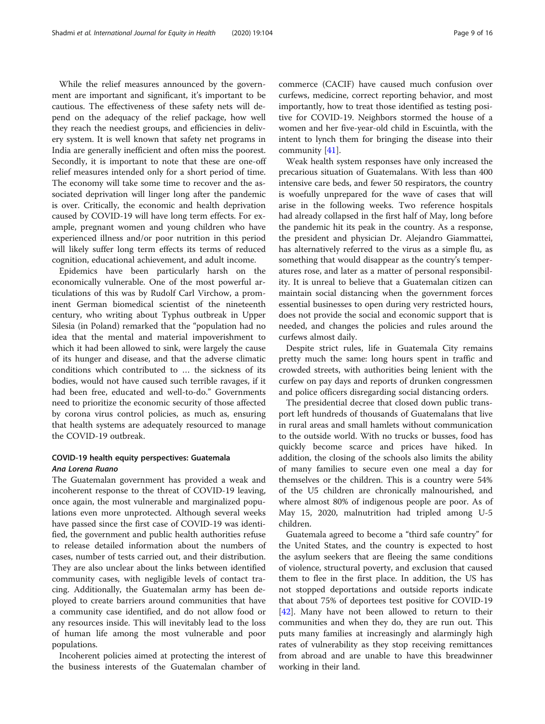While the relief measures announced by the government are important and significant, it's important to be cautious. The effectiveness of these safety nets will depend on the adequacy of the relief package, how well they reach the neediest groups, and efficiencies in delivery system. It is well known that safety net programs in India are generally inefficient and often miss the poorest. Secondly, it is important to note that these are one-off relief measures intended only for a short period of time. The economy will take some time to recover and the associated deprivation will linger long after the pandemic is over. Critically, the economic and health deprivation caused by COVID-19 will have long term effects. For example, pregnant women and young children who have experienced illness and/or poor nutrition in this period will likely suffer long term effects its terms of reduced cognition, educational achievement, and adult income.

Epidemics have been particularly harsh on the economically vulnerable. One of the most powerful articulations of this was by Rudolf Carl Virchow, a prominent German biomedical scientist of the nineteenth century, who writing about Typhus outbreak in Upper Silesia (in Poland) remarked that the "population had no idea that the mental and material impoverishment to which it had been allowed to sink, were largely the cause of its hunger and disease, and that the adverse climatic conditions which contributed to … the sickness of its bodies, would not have caused such terrible ravages, if it had been free, educated and well-to-do." Governments need to prioritize the economic security of those affected by corona virus control policies, as much as, ensuring that health systems are adequately resourced to manage the COVID-19 outbreak.

#### COVID-19 health equity perspectives: Guatemala Ana Lorena Ruano

The Guatemalan government has provided a weak and incoherent response to the threat of COVID-19 leaving, once again, the most vulnerable and marginalized populations even more unprotected. Although several weeks have passed since the first case of COVID-19 was identified, the government and public health authorities refuse to release detailed information about the numbers of cases, number of tests carried out, and their distribution. They are also unclear about the links between identified community cases, with negligible levels of contact tracing. Additionally, the Guatemalan army has been deployed to create barriers around communities that have a community case identified, and do not allow food or any resources inside. This will inevitably lead to the loss of human life among the most vulnerable and poor populations.

Incoherent policies aimed at protecting the interest of the business interests of the Guatemalan chamber of

commerce (CACIF) have caused much confusion over curfews, medicine, correct reporting behavior, and most importantly, how to treat those identified as testing positive for COVID-19. Neighbors stormed the house of a women and her five-year-old child in Escuintla, with the intent to lynch them for bringing the disease into their community [[41](#page-15-0)].

Weak health system responses have only increased the precarious situation of Guatemalans. With less than 400 intensive care beds, and fewer 50 respirators, the country is woefully unprepared for the wave of cases that will arise in the following weeks. Two reference hospitals had already collapsed in the first half of May, long before the pandemic hit its peak in the country. As a response, the president and physician Dr. Alejandro Giammattei, has alternatively referred to the virus as a simple flu, as something that would disappear as the country's temperatures rose, and later as a matter of personal responsibility. It is unreal to believe that a Guatemalan citizen can maintain social distancing when the government forces essential businesses to open during very restricted hours, does not provide the social and economic support that is needed, and changes the policies and rules around the curfews almost daily.

Despite strict rules, life in Guatemala City remains pretty much the same: long hours spent in traffic and crowded streets, with authorities being lenient with the curfew on pay days and reports of drunken congressmen and police officers disregarding social distancing orders.

The presidential decree that closed down public transport left hundreds of thousands of Guatemalans that live in rural areas and small hamlets without communication to the outside world. With no trucks or busses, food has quickly become scarce and prices have hiked. In addition, the closing of the schools also limits the ability of many families to secure even one meal a day for themselves or the children. This is a country were 54% of the U5 children are chronically malnourished, and where almost 80% of indigenous people are poor. As of May 15, 2020, malnutrition had tripled among U-5 children.

Guatemala agreed to become a "third safe country" for the United States, and the country is expected to host the asylum seekers that are fleeing the same conditions of violence, structural poverty, and exclusion that caused them to flee in the first place. In addition, the US has not stopped deportations and outside reports indicate that about 75% of deportees test positive for COVID-19 [[42\]](#page-15-0). Many have not been allowed to return to their communities and when they do, they are run out. This puts many families at increasingly and alarmingly high rates of vulnerability as they stop receiving remittances from abroad and are unable to have this breadwinner working in their land.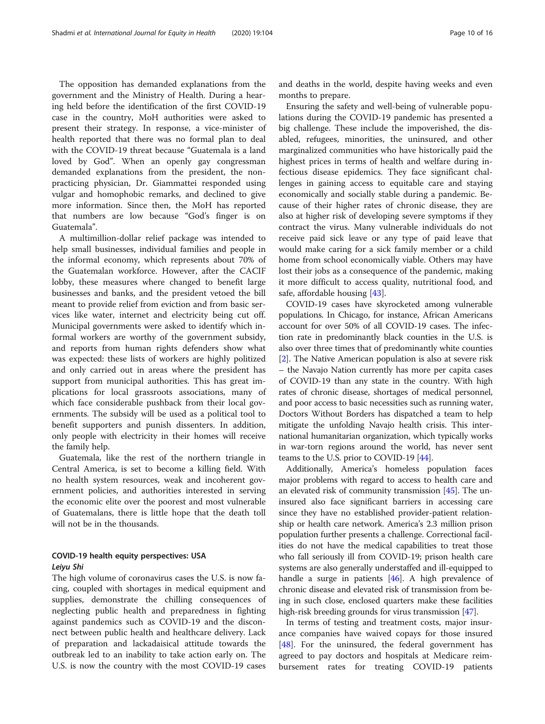The opposition has demanded explanations from the government and the Ministry of Health. During a hearing held before the identification of the first COVID-19 case in the country, MoH authorities were asked to present their strategy. In response, a vice-minister of health reported that there was no formal plan to deal with the COVID-19 threat because "Guatemala is a land loved by God". When an openly gay congressman demanded explanations from the president, the nonpracticing physician, Dr. Giammattei responded using vulgar and homophobic remarks, and declined to give more information. Since then, the MoH has reported that numbers are low because "God's finger is on Guatemala".

A multimillion-dollar relief package was intended to help small businesses, individual families and people in the informal economy, which represents about 70% of the Guatemalan workforce. However, after the CACIF lobby, these measures where changed to benefit large businesses and banks, and the president vetoed the bill meant to provide relief from eviction and from basic services like water, internet and electricity being cut off. Municipal governments were asked to identify which informal workers are worthy of the government subsidy, and reports from human rights defenders show what was expected: these lists of workers are highly politized and only carried out in areas where the president has support from municipal authorities. This has great implications for local grassroots associations, many of which face considerable pushback from their local governments. The subsidy will be used as a political tool to benefit supporters and punish dissenters. In addition, only people with electricity in their homes will receive the family help.

Guatemala, like the rest of the northern triangle in Central America, is set to become a killing field. With no health system resources, weak and incoherent government policies, and authorities interested in serving the economic elite over the poorest and most vulnerable of Guatemalans, there is little hope that the death toll will not be in the thousands.

### COVID-19 health equity perspectives: USA Leiyu Shi

The high volume of coronavirus cases the U.S. is now facing, coupled with shortages in medical equipment and supplies, demonstrate the chilling consequences of neglecting public health and preparedness in fighting against pandemics such as COVID-19 and the disconnect between public health and healthcare delivery. Lack of preparation and lackadaisical attitude towards the outbreak led to an inability to take action early on. The U.S. is now the country with the most COVID-19 cases and deaths in the world, despite having weeks and even months to prepare.

Ensuring the safety and well-being of vulnerable populations during the COVID-19 pandemic has presented a big challenge. These include the impoverished, the disabled, refugees, minorities, the uninsured, and other marginalized communities who have historically paid the highest prices in terms of health and welfare during infectious disease epidemics. They face significant challenges in gaining access to equitable care and staying economically and socially stable during a pandemic. Because of their higher rates of chronic disease, they are also at higher risk of developing severe symptoms if they contract the virus. Many vulnerable individuals do not receive paid sick leave or any type of paid leave that would make caring for a sick family member or a child home from school economically viable. Others may have lost their jobs as a consequence of the pandemic, making it more difficult to access quality, nutritional food, and safe, affordable housing [\[43\]](#page-15-0).

COVID-19 cases have skyrocketed among vulnerable populations. In Chicago, for instance, African Americans account for over 50% of all COVID-19 cases. The infection rate in predominantly black counties in the U.S. is also over three times that of predominantly white counties [[2\]](#page-14-0). The Native American population is also at severe risk – the Navajo Nation currently has more per capita cases of COVID-19 than any state in the country. With high rates of chronic disease, shortages of medical personnel, and poor access to basic necessities such as running water, Doctors Without Borders has dispatched a team to help mitigate the unfolding Navajo health crisis. This international humanitarian organization, which typically works in war-torn regions around the world, has never sent teams to the U.S. prior to COVID-19 [[44](#page-15-0)].

Additionally, America's homeless population faces major problems with regard to access to health care and an elevated risk of community transmission [\[45](#page-15-0)]. The uninsured also face significant barriers in accessing care since they have no established provider-patient relationship or health care network. America's 2.3 million prison population further presents a challenge. Correctional facilities do not have the medical capabilities to treat those who fall seriously ill from COVID-19; prison health care systems are also generally understaffed and ill-equipped to handle a surge in patients  $[46]$ . A high prevalence of chronic disease and elevated risk of transmission from being in such close, enclosed quarters make these facilities high-risk breeding grounds for virus transmission [\[47\]](#page-15-0).

In terms of testing and treatment costs, major insurance companies have waived copays for those insured [[48\]](#page-15-0). For the uninsured, the federal government has agreed to pay doctors and hospitals at Medicare reimbursement rates for treating COVID-19 patients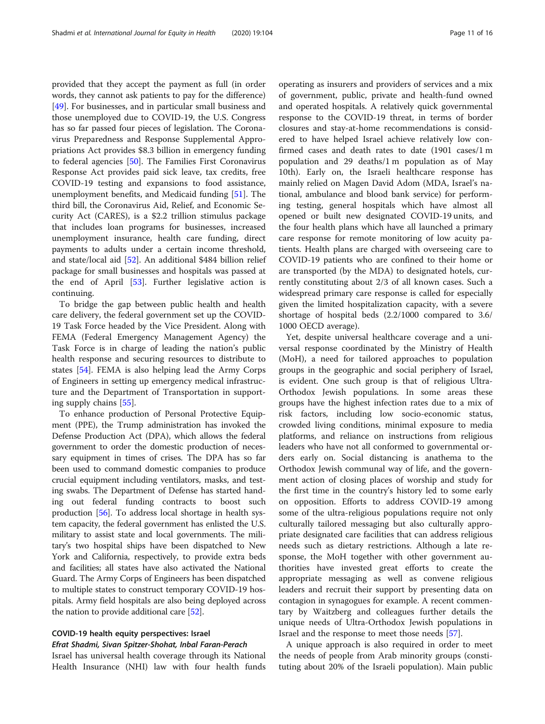provided that they accept the payment as full (in order words, they cannot ask patients to pay for the difference) [[49\]](#page-15-0). For businesses, and in particular small business and those unemployed due to COVID-19, the U.S. Congress has so far passed four pieces of legislation. The Coronavirus Preparedness and Response Supplemental Appropriations Act provides \$8.3 billion in emergency funding to federal agencies [\[50](#page-15-0)]. The Families First Coronavirus Response Act provides paid sick leave, tax credits, free COVID-19 testing and expansions to food assistance, unemployment benefits, and Medicaid funding [[51\]](#page-15-0). The third bill, the Coronavirus Aid, Relief, and Economic Security Act (CARES), is a \$2.2 trillion stimulus package that includes loan programs for businesses, increased unemployment insurance, health care funding, direct payments to adults under a certain income threshold, and state/local aid [\[52\]](#page-15-0). An additional \$484 billion relief package for small businesses and hospitals was passed at the end of April [\[53](#page-15-0)]. Further legislative action is continuing.

To bridge the gap between public health and health care delivery, the federal government set up the COVID-19 Task Force headed by the Vice President. Along with FEMA (Federal Emergency Management Agency) the Task Force is in charge of leading the nation's public health response and securing resources to distribute to states [[54](#page-15-0)]. FEMA is also helping lead the Army Corps of Engineers in setting up emergency medical infrastructure and the Department of Transportation in supporting supply chains [[55\]](#page-15-0).

To enhance production of Personal Protective Equipment (PPE), the Trump administration has invoked the Defense Production Act (DPA), which allows the federal government to order the domestic production of necessary equipment in times of crises. The DPA has so far been used to command domestic companies to produce crucial equipment including ventilators, masks, and testing swabs. The Department of Defense has started handing out federal funding contracts to boost such production [[56](#page-15-0)]. To address local shortage in health system capacity, the federal government has enlisted the U.S. military to assist state and local governments. The military's two hospital ships have been dispatched to New York and California, respectively, to provide extra beds and facilities; all states have also activated the National Guard. The Army Corps of Engineers has been dispatched to multiple states to construct temporary COVID-19 hospitals. Army field hospitals are also being deployed across the nation to provide additional care [\[52\]](#page-15-0).

## COVID-19 health equity perspectives: Israel

## Efrat Shadmi, Sivan Spitzer-Shohat, Inbal Faran-Perach

Israel has universal health coverage through its National Health Insurance (NHI) law with four health funds

operating as insurers and providers of services and a mix of government, public, private and health-fund owned and operated hospitals. A relatively quick governmental response to the COVID-19 threat, in terms of border closures and stay-at-home recommendations is considered to have helped Israel achieve relatively low confirmed cases and death rates to date (1901 cases/1 m population and 29 deaths/1 m population as of May 10th). Early on, the Israeli healthcare response has mainly relied on Magen David Adom (MDA, Israel's national, ambulance and blood bank service) for performing testing, general hospitals which have almost all opened or built new designated COVID-19 units, and the four health plans which have all launched a primary care response for remote monitoring of low acuity patients. Health plans are charged with overseeing care to COVID-19 patients who are confined to their home or are transported (by the MDA) to designated hotels, currently constituting about 2/3 of all known cases. Such a widespread primary care response is called for especially given the limited hospitalization capacity, with a severe shortage of hospital beds (2.2/1000 compared to 3.6/ 1000 OECD average).

Yet, despite universal healthcare coverage and a universal response coordinated by the Ministry of Health (MoH), a need for tailored approaches to population groups in the geographic and social periphery of Israel, is evident. One such group is that of religious Ultra-Orthodox Jewish populations. In some areas these groups have the highest infection rates due to a mix of risk factors, including low socio-economic status, crowded living conditions, minimal exposure to media platforms, and reliance on instructions from religious leaders who have not all conformed to governmental orders early on. Social distancing is anathema to the Orthodox Jewish communal way of life, and the government action of closing places of worship and study for the first time in the country's history led to some early on opposition. Efforts to address COVID-19 among some of the ultra-religious populations require not only culturally tailored messaging but also culturally appropriate designated care facilities that can address religious needs such as dietary restrictions. Although a late response, the MoH together with other government authorities have invested great efforts to create the appropriate messaging as well as convene religious leaders and recruit their support by presenting data on contagion in synagogues for example. A recent commentary by Waitzberg and colleagues further details the unique needs of Ultra-Orthodox Jewish populations in Israel and the response to meet those needs [[57](#page-15-0)].

A unique approach is also required in order to meet the needs of people from Arab minority groups (constituting about 20% of the Israeli population). Main public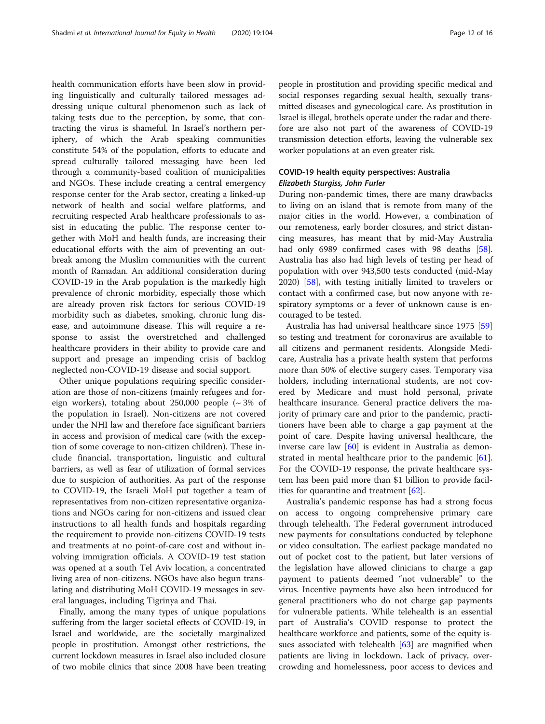health communication efforts have been slow in providing linguistically and culturally tailored messages addressing unique cultural phenomenon such as lack of taking tests due to the perception, by some, that contracting the virus is shameful. In Israel's northern periphery, of which the Arab speaking communities constitute 54% of the population, efforts to educate and spread culturally tailored messaging have been led through a community-based coalition of municipalities and NGOs. These include creating a central emergency response center for the Arab sector, creating a linked-up network of health and social welfare platforms, and recruiting respected Arab healthcare professionals to assist in educating the public. The response center together with MoH and health funds, are increasing their educational efforts with the aim of preventing an outbreak among the Muslim communities with the current month of Ramadan. An additional consideration during COVID-19 in the Arab population is the markedly high prevalence of chronic morbidity, especially those which are already proven risk factors for serious COVID-19 morbidity such as diabetes, smoking, chronic lung disease, and autoimmune disease. This will require a response to assist the overstretched and challenged healthcare providers in their ability to provide care and support and presage an impending crisis of backlog neglected non-COVID-19 disease and social support.

Other unique populations requiring specific consideration are those of non-citizens (mainly refugees and foreign workers), totaling about 250,000 people  $({\sim} 3\%$  of the population in Israel). Non-citizens are not covered under the NHI law and therefore face significant barriers in access and provision of medical care (with the exception of some coverage to non-citizen children). These include financial, transportation, linguistic and cultural barriers, as well as fear of utilization of formal services due to suspicion of authorities. As part of the response to COVID-19, the Israeli MoH put together a team of representatives from non-citizen representative organizations and NGOs caring for non-citizens and issued clear instructions to all health funds and hospitals regarding the requirement to provide non-citizens COVID-19 tests and treatments at no point-of-care cost and without involving immigration officials. A COVID-19 test station was opened at a south Tel Aviv location, a concentrated living area of non-citizens. NGOs have also begun translating and distributing MoH COVID-19 messages in several languages, including Tigrinya and Thai.

Finally, among the many types of unique populations suffering from the larger societal effects of COVID-19, in Israel and worldwide, are the societally marginalized people in prostitution. Amongst other restrictions, the current lockdown measures in Israel also included closure of two mobile clinics that since 2008 have been treating people in prostitution and providing specific medical and social responses regarding sexual health, sexually transmitted diseases and gynecological care. As prostitution in Israel is illegal, brothels operate under the radar and therefore are also not part of the awareness of COVID-19 transmission detection efforts, leaving the vulnerable sex worker populations at an even greater risk.

## COVID-19 health equity perspectives: Australia Elizabeth Sturgiss, John Furler

During non-pandemic times, there are many drawbacks to living on an island that is remote from many of the major cities in the world. However, a combination of our remoteness, early border closures, and strict distancing measures, has meant that by mid-May Australia had only 6989 confirmed cases with 98 deaths [\[58](#page-15-0)]. Australia has also had high levels of testing per head of population with over 943,500 tests conducted (mid-May 2020) [\[58](#page-15-0)], with testing initially limited to travelers or contact with a confirmed case, but now anyone with respiratory symptoms or a fever of unknown cause is encouraged to be tested.

Australia has had universal healthcare since 1975 [[59](#page-15-0)] so testing and treatment for coronavirus are available to all citizens and permanent residents. Alongside Medicare, Australia has a private health system that performs more than 50% of elective surgery cases. Temporary visa holders, including international students, are not covered by Medicare and must hold personal, private healthcare insurance. General practice delivers the majority of primary care and prior to the pandemic, practitioners have been able to charge a gap payment at the point of care. Despite having universal healthcare, the inverse care law [[60\]](#page-15-0) is evident in Australia as demon-strated in mental healthcare prior to the pandemic [\[61](#page-15-0)]. For the COVID-19 response, the private healthcare system has been paid more than \$1 billion to provide facilities for quarantine and treatment [[62](#page-15-0)].

Australia's pandemic response has had a strong focus on access to ongoing comprehensive primary care through telehealth. The Federal government introduced new payments for consultations conducted by telephone or video consultation. The earliest package mandated no out of pocket cost to the patient, but later versions of the legislation have allowed clinicians to charge a gap payment to patients deemed "not vulnerable" to the virus. Incentive payments have also been introduced for general practitioners who do not charge gap payments for vulnerable patients. While telehealth is an essential part of Australia's COVID response to protect the healthcare workforce and patients, some of the equity is-sues associated with telehealth [\[63](#page-15-0)] are magnified when patients are living in lockdown. Lack of privacy, overcrowding and homelessness, poor access to devices and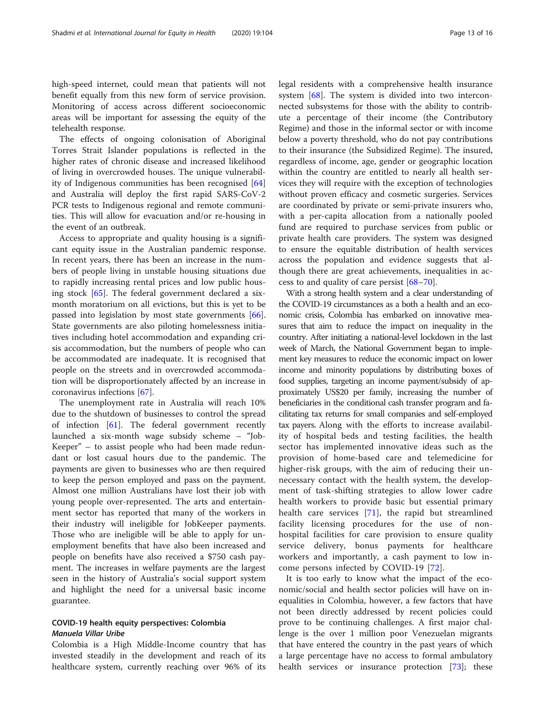high-speed internet, could mean that patients will not benefit equally from this new form of service provision. Monitoring of access across different socioeconomic areas will be important for assessing the equity of the telehealth response.

The effects of ongoing colonisation of Aboriginal Torres Strait Islander populations is reflected in the higher rates of chronic disease and increased likelihood of living in overcrowded houses. The unique vulnerability of Indigenous communities has been recognised [[64](#page-15-0)] and Australia will deploy the first rapid SARS-CoV-2 PCR tests to Indigenous regional and remote communities. This will allow for evacuation and/or re-housing in the event of an outbreak.

Access to appropriate and quality housing is a significant equity issue in the Australian pandemic response. In recent years, there has been an increase in the numbers of people living in unstable housing situations due to rapidly increasing rental prices and low public housing stock [[65\]](#page-15-0). The federal government declared a sixmonth moratorium on all evictions, but this is yet to be passed into legislation by most state governments [\[66](#page-15-0)]. State governments are also piloting homelessness initiatives including hotel accommodation and expanding crisis accommodation, but the numbers of people who can be accommodated are inadequate. It is recognised that people on the streets and in overcrowded accommodation will be disproportionately affected by an increase in coronavirus infections [\[67](#page-15-0)].

The unemployment rate in Australia will reach 10% due to the shutdown of businesses to control the spread of infection [\[61](#page-15-0)]. The federal government recently launched a six-month wage subsidy scheme – "Job-Keeper" – to assist people who had been made redundant or lost casual hours due to the pandemic. The payments are given to businesses who are then required to keep the person employed and pass on the payment. Almost one million Australians have lost their job with young people over-represented. The arts and entertainment sector has reported that many of the workers in their industry will ineligible for JobKeeper payments. Those who are ineligible will be able to apply for unemployment benefits that have also been increased and people on benefits have also received a \$750 cash payment. The increases in welfare payments are the largest seen in the history of Australia's social support system and highlight the need for a universal basic income guarantee.

### COVID-19 health equity perspectives: Colombia Manuela Villar Uribe

Colombia is a High Middle-Income country that has invested steadily in the development and reach of its healthcare system, currently reaching over 96% of its legal residents with a comprehensive health insurance system [\[68](#page-15-0)]. The system is divided into two interconnected subsystems for those with the ability to contribute a percentage of their income (the Contributory Regime) and those in the informal sector or with income below a poverty threshold, who do not pay contributions to their insurance (the Subsidized Regime). The insured, regardless of income, age, gender or geographic location within the country are entitled to nearly all health services they will require with the exception of technologies without proven efficacy and cosmetic surgeries. Services are coordinated by private or semi-private insurers who, with a per-capita allocation from a nationally pooled fund are required to purchase services from public or private health care providers. The system was designed to ensure the equitable distribution of health services across the population and evidence suggests that although there are great achievements, inequalities in access to and quality of care persist [\[68](#page-15-0)–[70\]](#page-15-0).

With a strong health system and a clear understanding of the COVID-19 circumstances as a both a health and an economic crisis, Colombia has embarked on innovative measures that aim to reduce the impact on inequality in the country. After initiating a national-level lockdown in the last week of March, the National Government began to implement key measures to reduce the economic impact on lower income and minority populations by distributing boxes of food supplies, targeting an income payment/subsidy of approximately US\$20 per family, increasing the number of beneficiaries in the conditional cash transfer program and facilitating tax returns for small companies and self-employed tax payers. Along with the efforts to increase availability of hospital beds and testing facilities, the health sector has implemented innovative ideas such as the provision of home-based care and telemedicine for higher-risk groups, with the aim of reducing their unnecessary contact with the health system, the development of task-shifting strategies to allow lower cadre health workers to provide basic but essential primary health care services [\[71](#page-15-0)], the rapid but streamlined facility licensing procedures for the use of nonhospital facilities for care provision to ensure quality service delivery, bonus payments for healthcare workers and importantly, a cash payment to low income persons infected by COVID-19 [\[72](#page-15-0)].

It is too early to know what the impact of the economic/social and health sector policies will have on inequalities in Colombia, however, a few factors that have not been directly addressed by recent policies could prove to be continuing challenges. A first major challenge is the over 1 million poor Venezuelan migrants that have entered the country in the past years of which a large percentage have no access to formal ambulatory health services or insurance protection [\[73](#page-15-0)]; these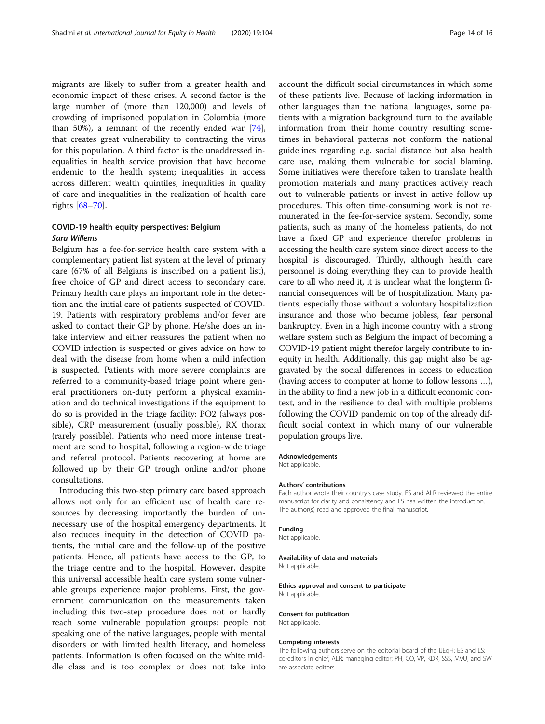migrants are likely to suffer from a greater health and economic impact of these crises. A second factor is the large number of (more than 120,000) and levels of crowding of imprisoned population in Colombia (more than 50%), a remnant of the recently ended war [\[74](#page-15-0)], that creates great vulnerability to contracting the virus for this population. A third factor is the unaddressed inequalities in health service provision that have become endemic to the health system; inequalities in access across different wealth quintiles, inequalities in quality of care and inequalities in the realization of health care rights [[68](#page-15-0)–[70\]](#page-15-0).

## COVID-19 health equity perspectives: Belgium Sara Willems

Belgium has a fee-for-service health care system with a complementary patient list system at the level of primary care (67% of all Belgians is inscribed on a patient list), free choice of GP and direct access to secondary care. Primary health care plays an important role in the detection and the initial care of patients suspected of COVID-19. Patients with respiratory problems and/or fever are asked to contact their GP by phone. He/she does an intake interview and either reassures the patient when no COVID infection is suspected or gives advice on how to deal with the disease from home when a mild infection is suspected. Patients with more severe complaints are referred to a community-based triage point where general practitioners on-duty perform a physical examination and do technical investigations if the equipment to do so is provided in the triage facility: PO2 (always possible), CRP measurement (usually possible), RX thorax (rarely possible). Patients who need more intense treatment are send to hospital, following a region-wide triage and referral protocol. Patients recovering at home are followed up by their GP trough online and/or phone consultations.

Introducing this two-step primary care based approach allows not only for an efficient use of health care resources by decreasing importantly the burden of unnecessary use of the hospital emergency departments. It also reduces inequity in the detection of COVID patients, the initial care and the follow-up of the positive patients. Hence, all patients have access to the GP, to the triage centre and to the hospital. However, despite this universal accessible health care system some vulnerable groups experience major problems. First, the government communication on the measurements taken including this two-step procedure does not or hardly reach some vulnerable population groups: people not speaking one of the native languages, people with mental disorders or with limited health literacy, and homeless patients. Information is often focused on the white middle class and is too complex or does not take into account the difficult social circumstances in which some of these patients live. Because of lacking information in other languages than the national languages, some patients with a migration background turn to the available information from their home country resulting sometimes in behavioral patterns not conform the national guidelines regarding e.g. social distance but also health care use, making them vulnerable for social blaming. Some initiatives were therefore taken to translate health promotion materials and many practices actively reach out to vulnerable patients or invest in active follow-up procedures. This often time-consuming work is not remunerated in the fee-for-service system. Secondly, some patients, such as many of the homeless patients, do not have a fixed GP and experience therefor problems in accessing the health care system since direct access to the hospital is discouraged. Thirdly, although health care personnel is doing everything they can to provide health care to all who need it, it is unclear what the longterm financial consequences will be of hospitalization. Many patients, especially those without a voluntary hospitalization insurance and those who became jobless, fear personal bankruptcy. Even in a high income country with a strong welfare system such as Belgium the impact of becoming a COVID-19 patient might therefor largely contribute to inequity in health. Additionally, this gap might also be aggravated by the social differences in access to education (having access to computer at home to follow lessons …), in the ability to find a new job in a difficult economic context, and in the resilience to deal with multiple problems following the COVID pandemic on top of the already difficult social context in which many of our vulnerable population groups live.

#### Acknowledgements

Not applicable.

#### Authors' contributions

Each author wrote their country's case study. ES and ALR reviewed the entire manuscript for clarity and consistency and ES has written the introduction. The author(s) read and approved the final manuscript.

#### Funding

Not applicable.

#### Availability of data and materials

Not applicable.

#### Ethics approval and consent to participate Not applicable.

#### Consent for publication

Not applicable.

#### Competing interests

The following authors serve on the editorial board of the IJEqH: ES and LS: co-editors in chief; ALR: managing editor; PH, CO, VP, KDR, SSS, MVU, and SW are associate editors.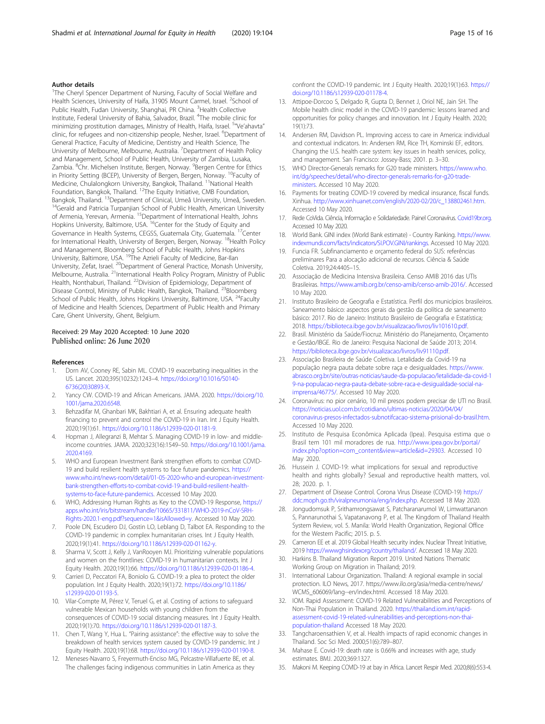#### <span id="page-14-0"></span>Author details

<sup>1</sup>The Cheryl Spencer Department of Nursing, Faculty of Social Welfare and Health Sciences, University of Haifa, 31905 Mount Carmel, Israel. <sup>2</sup>School of Public Health, Fudan University, Shanghai, PR China. <sup>3</sup>Health Collective Institute, Federal University of Bahia, Salvador, Brazil. <sup>4</sup>The mobile clinic for minimizing prostitution damages, Ministry of Health, Haifa, Israel. <sup>5</sup>"Ve'ahavta" clinic, for refugees and non-citizenship people, Nesher, Israel. <sup>6</sup>Department of General Practice, Faculty of Medicine, Dentistry and Health Science, The University of Melbourne, Melbourne, Australia. <sup>7</sup> Department of Health Policy and Management, School of Public Health, University of Zambia, Lusaka, Zambia. <sup>8</sup>Chr. Michelsen Institute, Bergen, Norway. <sup>9</sup>Bergen Centre for Ethics in Priority Setting (BCEP), University of Bergen, Bergen, Norway. <sup>10</sup>Faculty of Medicine, Chulalongkorn University, Bangkok, Thailand. <sup>11</sup>National Health Foundation, Bangkok, Thailand. <sup>12</sup>The Equity Initiative, CMB Foundation,<br>Bangkok, Thailand. <sup>13</sup>Department of Clinical, Umeå University, Umeå, Sweden. <sup>14</sup>Gerald and Patricia Turpanjian School of Public Health, American University of Armenia, Yerevan, Armenia. 15Department of International Health, Johns Hopkins University, Baltimore, USA. <sup>16</sup>Center for the Study of Equity and Governance in Health Systems, CEGSS, Guatemala City, Guatemala. 17Center for International Health, University of Bergen, Bergen, Norway. <sup>18</sup>Health Policy and Management, Bloomberg School of Public Health, Johns Hopkins University, Baltimore, USA. <sup>19</sup>The Azrieli Faculty of Medicine, Bar-Ilan University, Zefat, Israel. 20Department of General Practice, Monash University, Melbourne, Australia. 21International Health Policy Program, Ministry of Public Health, Nonthaburi, Thailand. 22Division of Epidemiology, Department of Disease Control, Ministry of Public Health, Bangkok, Thailand. <sup>23</sup>Bloomberg School of Public Health, Johns Hopkins University, Baltimore, USA. <sup>24</sup>Faculty of Medicine and Health Sciences, Department of Public Health and Primary Care, Ghent University, Ghent, Belgium.

#### Received: 29 May 2020 Accepted: 10 June 2020 Published online: 26 June 2020

#### References

- 1. Dorn AV, Cooney RE, Sabin ML. COVID-19 exacerbating inequalities in the US. Lancet. 2020;395(10232):1243–4. [https://doi.org/10.1016/S0140-](https://doi.org/10.1016/S0140-6736(20)30893-X) [6736\(20\)30893-X.](https://doi.org/10.1016/S0140-6736(20)30893-X)
- 2. Yancy CW. COVID-19 and African Americans. JAMA. 2020. [https://doi.org/10.](https://doi.org/10.1001/jama.2020.6548) [1001/jama.2020.6548](https://doi.org/10.1001/jama.2020.6548).
- 3. Behzadifar M, Ghanbari MK, Bakhtiari A, et al. Ensuring adequate health financing to prevent and control the COVID-19 in Iran. Int J Equity Health. 2020;19(1):61. [https://doi.org/10.1186/s12939-020-01181-9.](https://doi.org/10.1186/s12939-020-01181-9)
- 4. Hopman J, Allegranzi B, Mehtar S. Managing COVID-19 in low- and middleincome countries. JAMA. 2020;323(16):1549–50. [https://doi.org/10.1001/jama.](https://doi.org/10.1001/jama.2020.4169) [2020.4169](https://doi.org/10.1001/jama.2020.4169).
- 5. WHO and European Investment Bank strengthen efforts to combat COVID-19 and build resilient health systems to face future pandemics. [https://](https://www.who.int/news-room/detail/01-05-2020-who-and-european-investment-bank-strengthen-efforts-to-combat-covid-19-and-build-resilient-health-systems-to-face-future-pandemics) [www.who.int/news-room/detail/01-05-2020-who-and-european-investment](https://www.who.int/news-room/detail/01-05-2020-who-and-european-investment-bank-strengthen-efforts-to-combat-covid-19-and-build-resilient-health-systems-to-face-future-pandemics)[bank-strengthen-efforts-to-combat-covid-19-and-build-resilient-health](https://www.who.int/news-room/detail/01-05-2020-who-and-european-investment-bank-strengthen-efforts-to-combat-covid-19-and-build-resilient-health-systems-to-face-future-pandemics)[systems-to-face-future-pandemics.](https://www.who.int/news-room/detail/01-05-2020-who-and-european-investment-bank-strengthen-efforts-to-combat-covid-19-and-build-resilient-health-systems-to-face-future-pandemics) Accessed 10 May 2020.
- 6. WHO, Addressing Human Rights as Key to the COVID-19 Response, [https://](https://apps.who.int/iris/bitstream/handle/10665/331811/WHO-2019-nCoV-SRH-Rights-2020.1-eng.pdf?sequence=1&isAllowed=y) [apps.who.int/iris/bitstream/handle/10665/331811/WHO-2019-nCoV-SRH-](https://apps.who.int/iris/bitstream/handle/10665/331811/WHO-2019-nCoV-SRH-Rights-2020.1-eng.pdf?sequence=1&isAllowed=y)[Rights-2020.1-eng.pdf?sequence=1&isAllowed=y.](https://apps.who.int/iris/bitstream/handle/10665/331811/WHO-2019-nCoV-SRH-Rights-2020.1-eng.pdf?sequence=1&isAllowed=y) Accessed 10 May 2020.
- 7. Poole DN, Escudero DJ, Gostin LO, Leblang D, Talbot EA. Responding to the COVID-19 pandemic in complex humanitarian crises. Int J Equity Health. 2020;19(1):41. <https://doi.org/10.1186/s12939-020-01162-y>.
- 8. Sharma V, Scott J, Kelly J, VanRooyen MJ. Prioritizing vulnerable populations and women on the frontlines: COVID-19 in humanitarian contexts. Int J Equity Health. 2020;19(1):66. <https://doi.org/10.1186/s12939-020-01186-4>.
- Carrieri D, Peccatori FA, Boniolo G. COVID-19: a plea to protect the older population. Int J Equity Health. 2020;19(1):72. [https://doi.org/10.1186/](https://doi.org/10.1186/s12939-020-01193-5) [s12939-020-01193-5](https://doi.org/10.1186/s12939-020-01193-5).
- 10. Vilar-Compte M, Pérez V, Teruel G, et al. Costing of actions to safeguard vulnerable Mexican households with young children from the consequences of COVID-19 social distancing measures. Int J Equity Health. 2020;19(1):70. [https://doi.org/10.1186/s12939-020-01187-3.](https://doi.org/10.1186/s12939-020-01187-3)
- 11. Chen T, Wang Y, Hua L. "Pairing assistance": the effective way to solve the breakdown of health services system caused by COVID-19 pandemic. Int J Equity Health. 2020;19(1):68. <https://doi.org/10.1186/s12939-020-01190-8>.
- 12. Meneses-Navarro S, Freyermuth-Enciso MG, Pelcastre-Villafuerte BE, et al. The challenges facing indigenous communities in Latin America as they

confront the COVID-19 pandemic. Int J Equity Health. 2020;19(1):63. [https://](https://doi.org/10.1186/s12939-020-01178-4) [doi.org/10.1186/s12939-020-01178-4.](https://doi.org/10.1186/s12939-020-01178-4)

- 13. Attipoe-Dorcoo S, Delgado R, Gupta D, Bennet J, Oriol NE, Jain SH. The Mobile health clinic model in the COVID-19 pandemic: lessons learned and opportunities for policy changes and innovation. Int J Equity Health. 2020; 19(1):73.
- 14. Andersen RM, Davidson PL. Improving access to care in America: individual and contextual indicators. In: Andersen RM, Rice TH, Kominski EF, editors. Changing the U.S. health care system: key issues in health services, policy, and management. San Francisco: Jossey-Bass; 2001. p. 3–30.
- 15. WHO Director-Generals remarks for G20 trade ministers. [https://www.who.](https://www.who.int/dg/speeches/detail/who-director-generals-remarks-for-g20-trade-ministers) [int/dg/speeches/detail/who-director-generals-remarks-for-g20-trade](https://www.who.int/dg/speeches/detail/who-director-generals-remarks-for-g20-trade-ministers)[ministers](https://www.who.int/dg/speeches/detail/who-director-generals-remarks-for-g20-trade-ministers). Accessed 10 May 2020.
- 16. Payments for treating COVID-19 covered by medical insurance, fiscal funds. Xinhua. [http://www.xinhuanet.com/english/2020-02/20/c\\_138802461.htm.](http://www.xinhuanet.com/english/2020-02/20/c_138802461.htm) Accessed 10 May 2020.
- 17. Rede CoVida. Ciência, Informação e Solidariedade. Painel Coronavírus. [Covid19br.org](http://covid19br.org). Accessed 10 May 2020.
- 18. World Bank. GINI index (World Bank estimate) Country Ranking. [https://www.](https://www.indexmundi.com/facts/indicators/SI.POV.GINI/rankings) [indexmundi.com/facts/indicators/SI.POV.GINI/rankings.](https://www.indexmundi.com/facts/indicators/SI.POV.GINI/rankings) Accessed 10 May 2020.
- 19. Funcia FR. Subfinanciamento e orçamento federal do SUS: referências preliminares Para a alocação adicional de recursos. Ciência & Saúde Coletiva. 2019;24:4405–15.
- 20. Associação de Medicina Intensiva Brasileira. Censo AMIB 2016 das UTIs Brasileiras. [https://www.amib.org.br/censo-amib/censo-amib-2016/.](https://www.amib.org.br/censo-amib/censo-amib-2016/) Accessed 10 May 2020.
- 21. Instituto Brasileiro de Geografia e Estatística. Perfil dos municípios brasileiros. Saneamento básico: aspectos gerais da gestão da política de saneamento básico: 2017. Rio de Janeiro: Instituto Brasileiro de Geografia e Estatística; 2018. [https://biblioteca.ibge.gov.br/visualizacao/livros/liv101610.pdf.](https://biblioteca.ibge.gov.br/visualizacao/livros/liv101610.pdf)
- 22. Brasil. Ministério da Saúde/Fiocruz. Ministério do Planejamento, Orçamento e Gestão/IBGE. Rio de Janeiro: Pesquisa Nacional de Saúde 2013; 2014. <https://biblioteca.ibge.gov.br/visualizacao/livros/liv91110.pdf>.
- 23. Associação Brasileira de Saúde Coletiva. Letalidade da Covid-19 na população negra pauta debate sobre raça e desigualdades. [https://www.](https://www.abrasco.org.br/site/outras-noticias/saude-da-populacao/letalidade-da-covid-19-na-populacao-negra-pauta-debate-sobre-raca-e-desigualdade-social-na-imprensa/46775/) [abrasco.org.br/site/outras-noticias/saude-da-populacao/letalidade-da-covid-1](https://www.abrasco.org.br/site/outras-noticias/saude-da-populacao/letalidade-da-covid-19-na-populacao-negra-pauta-debate-sobre-raca-e-desigualdade-social-na-imprensa/46775/) [9-na-populacao-negra-pauta-debate-sobre-raca-e-desigualdade-social-na](https://www.abrasco.org.br/site/outras-noticias/saude-da-populacao/letalidade-da-covid-19-na-populacao-negra-pauta-debate-sobre-raca-e-desigualdade-social-na-imprensa/46775/)[imprensa/46775/.](https://www.abrasco.org.br/site/outras-noticias/saude-da-populacao/letalidade-da-covid-19-na-populacao-negra-pauta-debate-sobre-raca-e-desigualdade-social-na-imprensa/46775/) Accessed 10 May 2020.
- 24. Coronavírus: no pior cenário, 10 mil presos podem precisar de UTI no Brasil. [https://noticias.uol.com.br/cotidiano/ultimas-noticias/2020/04/04/](https://noticias.uol.com.br/cotidiano/ultimas-noticias/2020/04/04/coronavirus-presos-infectados-subnotifcacao-sistema-prisional-do-brasil.htm) [coronavirus-presos-infectados-subnotifcacao-sistema-prisional-do-brasil.htm](https://noticias.uol.com.br/cotidiano/ultimas-noticias/2020/04/04/coronavirus-presos-infectados-subnotifcacao-sistema-prisional-do-brasil.htm). Accessed 10 May 2020.
- 25. Instituto de Pesquisa Econômica Aplicada (Ipea). Pesquisa estima que o Brasil tem 101 mil moradores de rua. [http://www.ipea.gov.br/portal/](http://www.ipea.gov.br/portal/index.php?option=com_content&view=article&id=29303) [index.php?option=com\\_content&view=article&id=29303.](http://www.ipea.gov.br/portal/index.php?option=com_content&view=article&id=29303) Accessed 10 May 2020.
- 26. Hussein J. COVID-19: what implications for sexual and reproductive health and rights globally? Sexual and reproductive health matters, vol. 28; 2020. p. 1.
- 27. Department of Disease Control. Corona Virus Disease (COVID-19) [https://](https://ddc.moph.go.th/viralpneumonia/eng/index.php) [ddc.moph.go.th/viralpneumonia/eng/index.php.](https://ddc.moph.go.th/viralpneumonia/eng/index.php) Accessed 18 May 2020.
- 28. Jongudomsuk P, Srithamrongsawat S, Patcharanarumol W, Limwattananon S, Pannarunothai S, Vapatanavong P, et al. The Kingdom of Thailand Health System Review, vol. 5. Manila: World Health Organization, Regional Office for the Western Pacific; 2015. p. 5.
- 29. Cameron EE et al. 2019 Global Health security index. Nuclear Threat Initiative, 2019 [https://wwwghsindexorg/country/thailand/.](https://www.ghsindex.org/country/thailand/) Accessed 18 May 2020.
- 30. Harkins B. Thailand Migration Report 2019. United Nations Thematic Working Group on Migration in Thailand; 2019.
- 31. International Labour Organization. Thailand: A regional example in social protection. ILO News, 2017. https://www.ilo.org/asia/media-centre/news/ WCMS\_606069/lang--en/index.html. Accessed 18 May 2020.
- 32. IOM. Rapid Assessment: COVID-19 Related Vulnerabilities and Perceptions of Non-Thai Population in Thailand. 2020. [https://thailand.iom.int/rapid](https://thailand.iom.int/rapid-assessment-covid-19-related-vulnerabilities-and-perceptions-non-thai-population-thailand)[assessment-covid-19-related-vulnerabilities-and-perceptions-non-thai](https://thailand.iom.int/rapid-assessment-covid-19-related-vulnerabilities-and-perceptions-non-thai-population-thailand)[population-thailand](https://thailand.iom.int/rapid-assessment-covid-19-related-vulnerabilities-and-perceptions-non-thai-population-thailand) Accessed 18 May 2020.
- 33. Tangcharoensathien V, et al. Health impacts of rapid economic changes in Thailand. Soc Sci Med. 2000;51(6):789–807.
- Mahase E. Covid-19: death rate is 0.66% and increases with age, study estimates. BMJ. 2020;369:1327.
- 35. Makoni M. Keeping COVID-19 at bay in Africa. Lancet Respir Med. 2020;8(6):553-4.